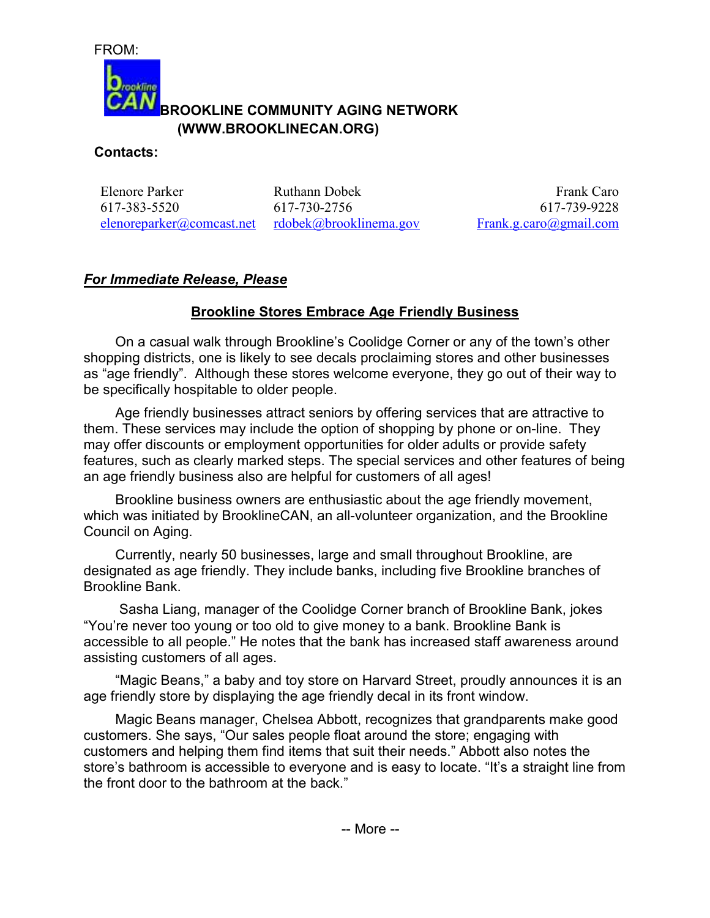FROM:



## **BROOKLINE COMMUNITY AGING NETWORK (WWW.BROOKLINECAN.ORG)**

## **Contacts:**

Elenore Parker 617-383-5520 elenoreparker@comcast.net

Ruthann Dobek 617-730-2756 rdobek@brooklinema.gov

Frank Caro 617-739-9228 Frank.g.caro@gmail.com

## *For Immediate Release, Please*

## **Brookline Stores Embrace Age Friendly Business**

On a casual walk through Brookline's Coolidge Corner or any of the town's other shopping districts, one is likely to see decals proclaiming stores and other businesses as "age friendly". Although these stores welcome everyone, they go out of their way to be specifically hospitable to older people.

Age friendly businesses attract seniors by offering services that are attractive to them. These services may include the option of shopping by phone or on-line. They may offer discounts or employment opportunities for older adults or provide safety features, such as clearly marked steps. The special services and other features of being an age friendly business also are helpful for customers of all ages!

Brookline business owners are enthusiastic about the age friendly movement, which was initiated by BrooklineCAN, an all-volunteer organization, and the Brookline Council on Aging.

Currently, nearly 50 businesses, large and small throughout Brookline, are designated as age friendly. They include banks, including five Brookline branches of Brookline Bank.

 Sasha Liang, manager of the Coolidge Corner branch of Brookline Bank, jokes "You're never too young or too old to give money to a bank. Brookline Bank is accessible to all people." He notes that the bank has increased staff awareness around assisting customers of all ages.

"Magic Beans," a baby and toy store on Harvard Street, proudly announces it is an age friendly store by displaying the age friendly decal in its front window.

Magic Beans manager, Chelsea Abbott, recognizes that grandparents make good customers. She says, "Our sales people float around the store; engaging with customers and helping them find items that suit their needs." Abbott also notes the store's bathroom is accessible to everyone and is easy to locate. "It's a straight line from the front door to the bathroom at the back."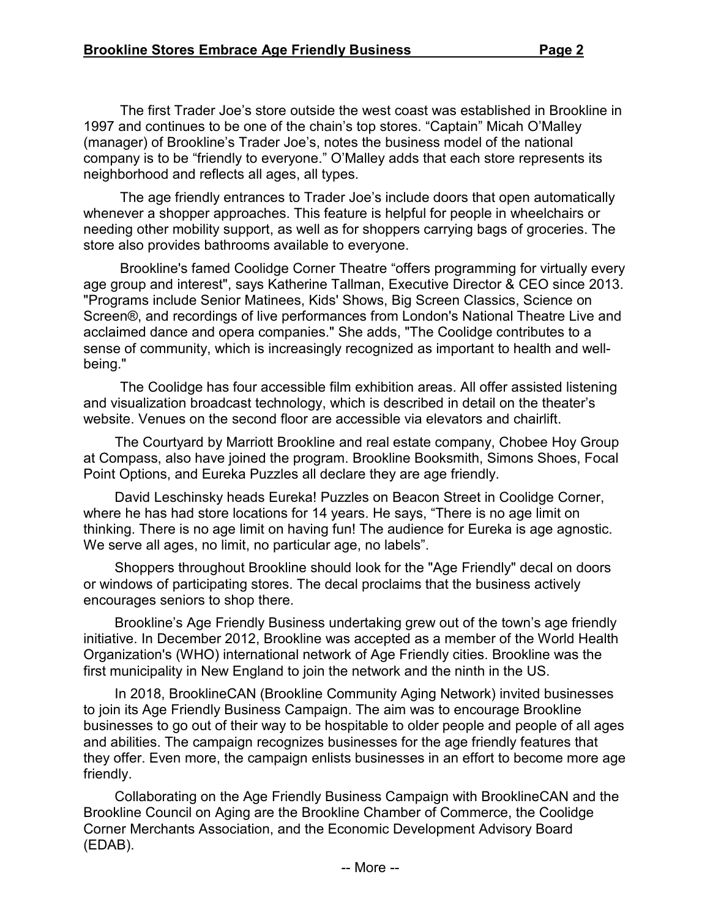The first Trader Joe's store outside the west coast was established in Brookline in 1997 and continues to be one of the chain's top stores. "Captain" Micah O'Malley (manager) of Brookline's Trader Joe's, notes the business model of the national company is to be "friendly to everyone." O'Malley adds that each store represents its neighborhood and reflects all ages, all types.

The age friendly entrances to Trader Joe's include doors that open automatically whenever a shopper approaches. This feature is helpful for people in wheelchairs or needing other mobility support, as well as for shoppers carrying bags of groceries. The store also provides bathrooms available to everyone.

Brookline's famed Coolidge Corner Theatre "offers programming for virtually every age group and interest", says Katherine Tallman, Executive Director & CEO since 2013. "Programs include Senior Matinees, Kids' Shows, Big Screen Classics, Science on Screen®, and recordings of live performances from London's National Theatre Live and acclaimed dance and opera companies." She adds, "The Coolidge contributes to a sense of community, which is increasingly recognized as important to health and wellbeing."

The Coolidge has four accessible film exhibition areas. All offer assisted listening and visualization broadcast technology, which is described in detail on the theater's website. Venues on the second floor are accessible via elevators and chairlift.

The Courtyard by Marriott Brookline and real estate company, Chobee Hoy Group at Compass, also have joined the program. Brookline Booksmith, Simons Shoes, Focal Point Options, and Eureka Puzzles all declare they are age friendly.

David Leschinsky heads Eureka! Puzzles on Beacon Street in Coolidge Corner, where he has had store locations for 14 years. He says, "There is no age limit on thinking. There is no age limit on having fun! The audience for Eureka is age agnostic. We serve all ages, no limit, no particular age, no labels".

Shoppers throughout Brookline should look for the "Age Friendly" decal on doors or windows of participating stores. The decal proclaims that the business actively encourages seniors to shop there.

Brookline's Age Friendly Business undertaking grew out of the town's age friendly initiative. In December 2012, Brookline was accepted as a member of the World Health Organization's (WHO) international network of Age Friendly cities. Brookline was the first municipality in New England to join the network and the ninth in the US.

In 2018, BrooklineCAN (Brookline Community Aging Network) invited businesses to join its Age Friendly Business Campaign. The aim was to encourage Brookline businesses to go out of their way to be hospitable to older people and people of all ages and abilities. The campaign recognizes businesses for the age friendly features that they offer. Even more, the campaign enlists businesses in an effort to become more age friendly.

Collaborating on the Age Friendly Business Campaign with BrooklineCAN and the Brookline Council on Aging are the Brookline Chamber of Commerce, the Coolidge Corner Merchants Association, and the Economic Development Advisory Board (EDAB).